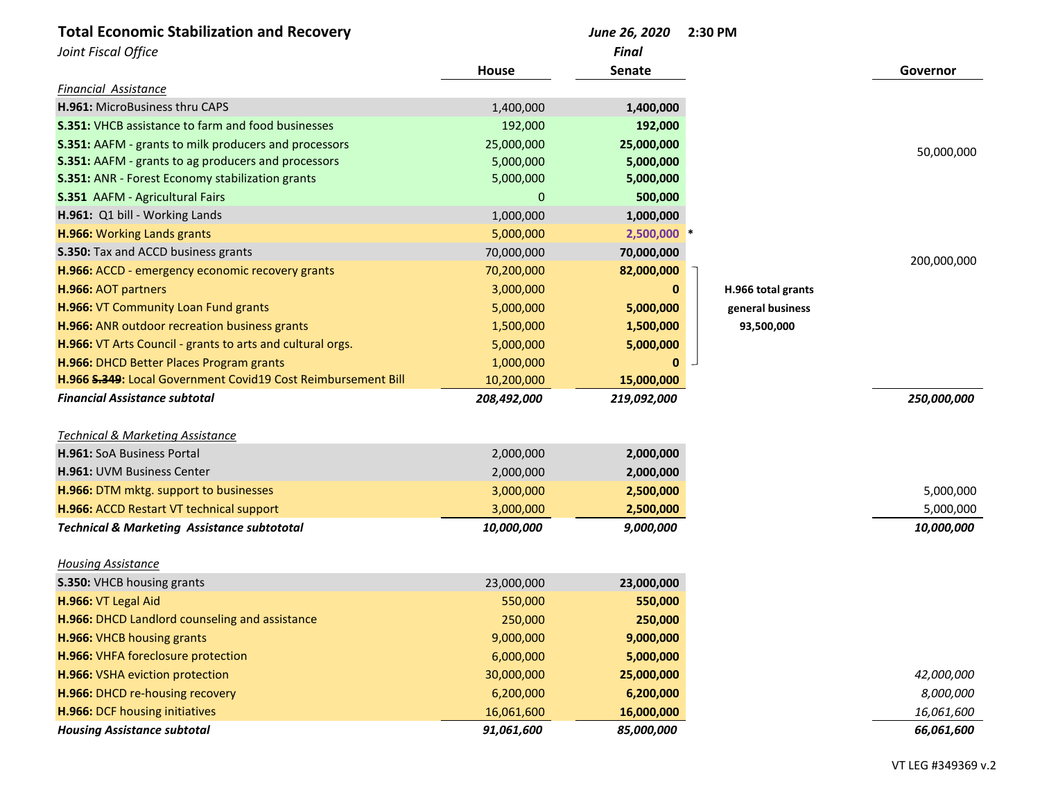| <b>Total Economic Stabilization and Recovery</b>              |             | June 26, 2020 | 2:30 PM            |                         |
|---------------------------------------------------------------|-------------|---------------|--------------------|-------------------------|
| Joint Fiscal Office                                           |             | <b>Final</b>  |                    |                         |
|                                                               | House       | <b>Senate</b> |                    | Governor                |
| Financial Assistance                                          |             |               |                    |                         |
| H.961: MicroBusiness thru CAPS                                | 1,400,000   | 1,400,000     |                    |                         |
| <b>S.351: VHCB assistance to farm and food businesses</b>     | 192,000     | 192,000       |                    |                         |
| S.351: AAFM - grants to milk producers and processors         | 25,000,000  | 25,000,000    |                    | 50,000,000              |
| S.351: AAFM - grants to ag producers and processors           | 5,000,000   | 5,000,000     |                    |                         |
| S.351: ANR - Forest Economy stabilization grants              | 5,000,000   | 5,000,000     |                    |                         |
| S.351 AAFM - Agricultural Fairs                               | 0           | 500,000       |                    |                         |
| H.961: Q1 bill - Working Lands                                | 1,000,000   | 1,000,000     |                    |                         |
| H.966: Working Lands grants                                   | 5,000,000   | $2,500,000$ * |                    |                         |
| S.350: Tax and ACCD business grants                           | 70,000,000  | 70,000,000    |                    |                         |
| H.966: ACCD - emergency economic recovery grants              | 70,200,000  | 82,000,000    |                    | 200,000,000             |
| H.966: AOT partners                                           | 3,000,000   |               | H.966 total grants |                         |
| H.966: VT Community Loan Fund grants                          | 5,000,000   | 5,000,000     | general business   |                         |
| H.966: ANR outdoor recreation business grants                 | 1,500,000   | 1,500,000     | 93,500,000         |                         |
| H.966: VT Arts Council - grants to arts and cultural orgs.    | 5,000,000   | 5,000,000     |                    |                         |
| H.966: DHCD Better Places Program grants                      | 1,000,000   |               |                    |                         |
| H.966 S.349: Local Government Covid19 Cost Reimbursement Bill | 10,200,000  | 15,000,000    |                    |                         |
| <b>Financial Assistance subtotal</b>                          | 208,492,000 | 219,092,000   |                    | 250,000,000             |
|                                                               |             |               |                    |                         |
| <b>Technical &amp; Marketing Assistance</b>                   |             |               |                    |                         |
| H.961: SoA Business Portal                                    | 2,000,000   | 2,000,000     |                    |                         |
| H.961: UVM Business Center                                    | 2,000,000   | 2,000,000     |                    |                         |
| H.966: DTM mktg. support to businesses                        | 3,000,000   | 2,500,000     |                    | 5,000,000               |
| H.966: ACCD Restart VT technical support                      | 3,000,000   | 2,500,000     |                    | 5,000,000               |
| <b>Technical &amp; Marketing Assistance subtototal</b>        | 10,000,000  | 9,000,000     |                    | 10,000,000              |
| <b>Housing Assistance</b>                                     |             |               |                    |                         |
| S.350: VHCB housing grants                                    | 23,000,000  | 23,000,000    |                    |                         |
| H.966: VT Legal Aid                                           | 550,000     | 550,000       |                    |                         |
| H.966: DHCD Landlord counseling and assistance                | 250,000     | 250,000       |                    |                         |
| H.966: VHCB housing grants                                    | 9,000,000   | 9,000,000     |                    |                         |
| H.966: VHFA foreclosure protection                            | 6,000,000   | 5,000,000     |                    |                         |
| H.966: VSHA eviction protection                               | 30,000,000  | 25,000,000    |                    | 42,000,000              |
| H.966: DHCD re-housing recovery                               |             |               |                    |                         |
| H.966: DCF housing initiatives                                | 6,200,000   | 6,200,000     |                    | 8,000,000<br>16,061,600 |
|                                                               | 16,061,600  | 16,000,000    |                    |                         |
| <b>Housing Assistance subtotal</b>                            | 91,061,600  | 85,000,000    |                    | 66,061,600              |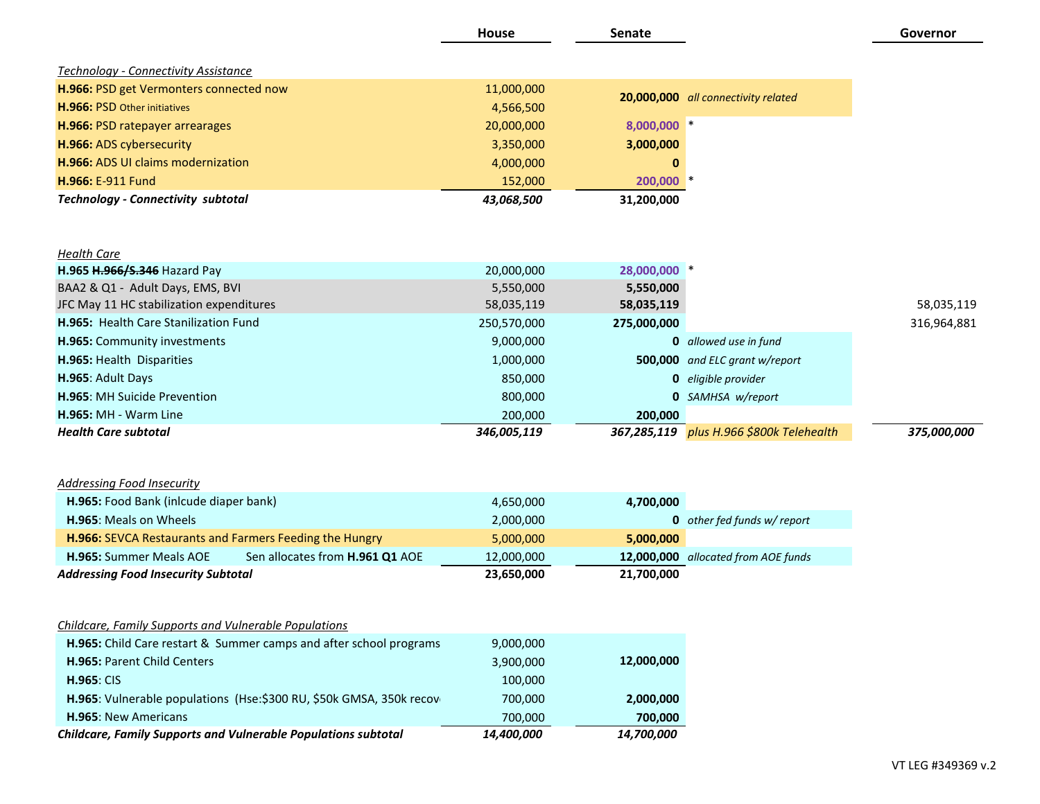|                                                                       | <b>House</b> | Senate       |                                          | Governor    |
|-----------------------------------------------------------------------|--------------|--------------|------------------------------------------|-------------|
| Technology - Connectivity Assistance                                  |              |              |                                          |             |
| H.966: PSD get Vermonters connected now                               | 11,000,000   |              |                                          |             |
| H.966: PSD Other initiatives                                          | 4,566,500    |              | 20,000,000 all connectivity related      |             |
| H.966: PSD ratepayer arrearages                                       | 20,000,000   | 8,000,000 *  |                                          |             |
| H.966: ADS cybersecurity                                              | 3,350,000    | 3,000,000    |                                          |             |
| H.966: ADS UI claims modernization                                    | 4,000,000    | 0            |                                          |             |
| H.966: E-911 Fund                                                     | 152,000      | 200,000 *    |                                          |             |
| <b>Technology - Connectivity subtotal</b>                             | 43,068,500   | 31,200,000   |                                          |             |
| <b>Health Care</b>                                                    |              |              |                                          |             |
| H.965 H.966/S.346 Hazard Pay                                          | 20,000,000   | 28,000,000 * |                                          |             |
| BAA2 & Q1 - Adult Days, EMS, BVI                                      | 5,550,000    | 5,550,000    |                                          |             |
| JFC May 11 HC stabilization expenditures                              | 58,035,119   | 58,035,119   |                                          | 58,035,119  |
| H.965: Health Care Stanilization Fund                                 | 250,570,000  | 275,000,000  |                                          | 316,964,881 |
| H.965: Community investments                                          | 9,000,000    |              | <b>0</b> allowed use in fund             |             |
| H.965: Health Disparities                                             | 1,000,000    |              | 500,000 and ELC grant w/report           |             |
| H.965: Adult Days                                                     | 850,000      |              | <b>0</b> eligible provider               |             |
| H.965: MH Suicide Prevention                                          | 800,000      |              | <b>0</b> SAMHSA w/report                 |             |
| H.965: MH - Warm Line                                                 | 200,000      | 200,000      |                                          |             |
| <b>Health Care subtotal</b>                                           | 346,005,119  |              | 367,285,119 plus H.966 \$800k Telehealth | 375,000,000 |
|                                                                       |              |              |                                          |             |
| <b>Addressing Food Insecurity</b>                                     |              |              |                                          |             |
| H.965: Food Bank (inlcude diaper bank)                                | 4,650,000    | 4,700,000    |                                          |             |
| H.965: Meals on Wheels                                                | 2,000,000    |              | 0 other fed funds w/ report              |             |
| H.966: SEVCA Restaurants and Farmers Feeding the Hungry               | 5,000,000    | 5,000,000    |                                          |             |
| H.965: Summer Meals AOE<br>Sen allocates from <b>H.961 Q1</b> AOE     | 12,000,000   |              | 12,000,000 allocated from AOE funds      |             |
| <b>Addressing Food Insecurity Subtotal</b>                            | 23,650,000   | 21,700,000   |                                          |             |
| Childcare, Family Supports and Vulnerable Populations                 |              |              |                                          |             |
| H.965: Child Care restart & Summer camps and after school programs    | 9,000,000    |              |                                          |             |
| H.965: Parent Child Centers                                           | 3,900,000    | 12,000,000   |                                          |             |
| <b>H.965: CIS</b>                                                     | 100,000      |              |                                          |             |
| H.965: Vulnerable populations (Hse:\$300 RU, \$50k GMSA, 350k recover | 700,000      | 2,000,000    |                                          |             |
| H.965: New Americans                                                  | 700,000      | 700,000      |                                          |             |
| Childcare, Family Supports and Vulnerable Populations subtotal        | 14,400,000   | 14,700,000   |                                          |             |